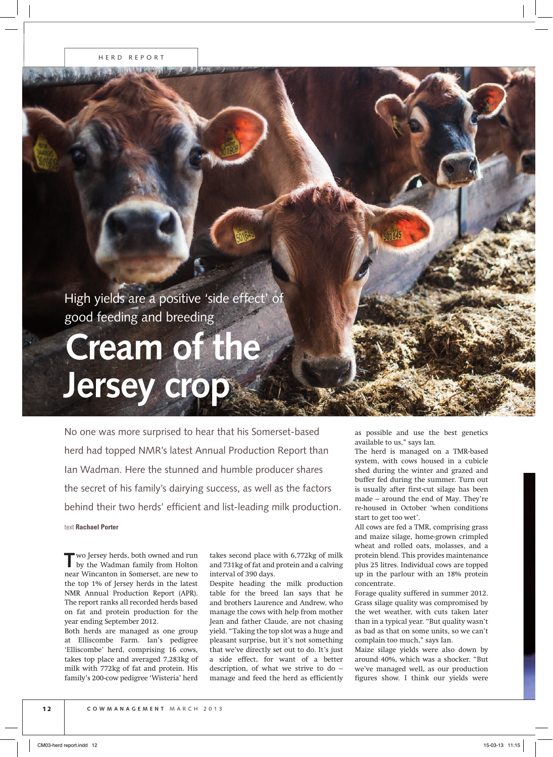High yields are a positive 'side effect' of good feeding and breeding

## **Cream of the Jersey crop**

No one was more surprised to hear that his Somerset-based herd had topped NMR's latest Annual Production Report than Ian Wadman. Here the stunned and humble producer shares the secret of his family's dairying success, as well as the factors behind their two herds' efficient and list-leading milk production. text **Rachael Porter**

**T**wo Jersey herds, both owned and run by the Wadman family from Holton near Wincanton in Somerset, are new to the top 1% of Jersey herds in the latest NMR Annual Production Report (APR). The report ranks all recorded herds based on fat and protein production for the year ending September 2012.

Both herds are managed as one group at Elliscombe Farm. Ian's pedigree 'Elliscombe' herd, comprising 16 cows, takes top place and averaged 7,283kg of milk with 772kg of fat and protein. His family's 200-cow pedigree 'Wisteria' herd

takes second place with 6,772kg of milk and 731kg of fat and protein and a calving interval of 390 days.

Despite heading the milk production table for the breed Ian says that he and brothers Laurence and Andrew, who manage the cows with help from mother Jean and father Claude, are not chasing yield. "Taking the top slot was a huge and pleasant surprise, but it's not something that we've directly set out to do. It's just a side effect, for want of a better description, of what we strive to do – manage and feed the herd as efficiently as possible and use the best genetics available to us," says Ian.

The herd is managed on a TMR-based system, with cows housed in a cubicle shed during the winter and grazed and buffer fed during the summer. Turn out is usually after first-cut silage has been made – around the end of May. They're re-housed in October 'when conditions start to get too wet'.

All cows are fed a TMR, comprising grass and maize silage, home-grown crimpled wheat and rolled oats, molasses, and a protein blend. This provides maintenance plus 25 litres. Individual cows are topped up in the parlour with an 18% protein concentrate.

Forage quality suffered in summer 2012. Grass silage quality was compromised by the wet weather, with cuts taken later than in a typical year. "But quality wasn't as bad as that on some units, so we can't complain too much," says Ian.

Maize silage yields were also down by around 40%, which was a shocker. "But we've managed well, as our production figures show. I think our yields were